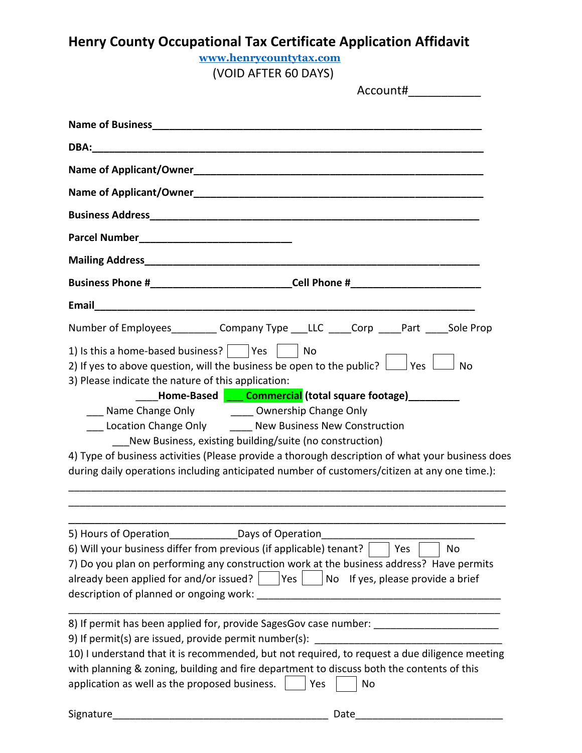| <b>Henry County Occupational Tax Certificate Application Affidavit</b>                                                                                                                                                                                                                                                                                                                                                                                                          |                                                                                                                                                                                                                                                                                                                 |  |
|---------------------------------------------------------------------------------------------------------------------------------------------------------------------------------------------------------------------------------------------------------------------------------------------------------------------------------------------------------------------------------------------------------------------------------------------------------------------------------|-----------------------------------------------------------------------------------------------------------------------------------------------------------------------------------------------------------------------------------------------------------------------------------------------------------------|--|
| www.henrycountytax.com                                                                                                                                                                                                                                                                                                                                                                                                                                                          |                                                                                                                                                                                                                                                                                                                 |  |
| (VOID AFTER 60 DAYS)<br>Account#_____________                                                                                                                                                                                                                                                                                                                                                                                                                                   |                                                                                                                                                                                                                                                                                                                 |  |
|                                                                                                                                                                                                                                                                                                                                                                                                                                                                                 |                                                                                                                                                                                                                                                                                                                 |  |
|                                                                                                                                                                                                                                                                                                                                                                                                                                                                                 |                                                                                                                                                                                                                                                                                                                 |  |
|                                                                                                                                                                                                                                                                                                                                                                                                                                                                                 |                                                                                                                                                                                                                                                                                                                 |  |
|                                                                                                                                                                                                                                                                                                                                                                                                                                                                                 |                                                                                                                                                                                                                                                                                                                 |  |
|                                                                                                                                                                                                                                                                                                                                                                                                                                                                                 |                                                                                                                                                                                                                                                                                                                 |  |
|                                                                                                                                                                                                                                                                                                                                                                                                                                                                                 |                                                                                                                                                                                                                                                                                                                 |  |
|                                                                                                                                                                                                                                                                                                                                                                                                                                                                                 |                                                                                                                                                                                                                                                                                                                 |  |
|                                                                                                                                                                                                                                                                                                                                                                                                                                                                                 | Business Phone #__________________________________Cell Phone #__________________                                                                                                                                                                                                                                |  |
|                                                                                                                                                                                                                                                                                                                                                                                                                                                                                 |                                                                                                                                                                                                                                                                                                                 |  |
|                                                                                                                                                                                                                                                                                                                                                                                                                                                                                 | Number of Employees___________ Company Type ____LLC _____Corp _____Part _____Sole Prop                                                                                                                                                                                                                          |  |
| 1) Is this a home-based business? $ $   Yes     No<br>2) If yes to above question, will the business be open to the public? $\Box$ Yes $\Box$ No<br>3) Please indicate the nature of this application:<br>___ Name Change Only _______ Ownership Change Only<br>__ Location Change Only ______ New Business New Construction<br>New Business, existing building/suite (no construction)                                                                                         | Lettome-Based <b>Late Commercial</b> (total square footage)__________<br>4) Type of business activities (Please provide a thorough description of what your business does<br>during daily operations including anticipated number of customers/citizen at any one time.):                                       |  |
| 5) Hours of Operation________________Days of Operation<br>6) Will your business differ from previous (if applicable) tenant?<br>already been applied for and/or issued? $ $ $ $ Yes $ $ $ $ No If yes, please provide a brief<br>description of planned or ongoing work:<br>9) If permit(s) are issued, provide permit number(s):<br>with planning & zoning, building and fire department to discuss both the contents of this<br>application as well as the proposed business. | No<br>Yes<br>7) Do you plan on performing any construction work at the business address? Have permits<br>8) If permit has been applied for, provide SagesGov case number: _______________________<br>10) I understand that it is recommended, but not required, to request a due diligence meeting<br>Yes<br>No |  |
| Signature                                                                                                                                                                                                                                                                                                                                                                                                                                                                       | Date                                                                                                                                                                                                                                                                                                            |  |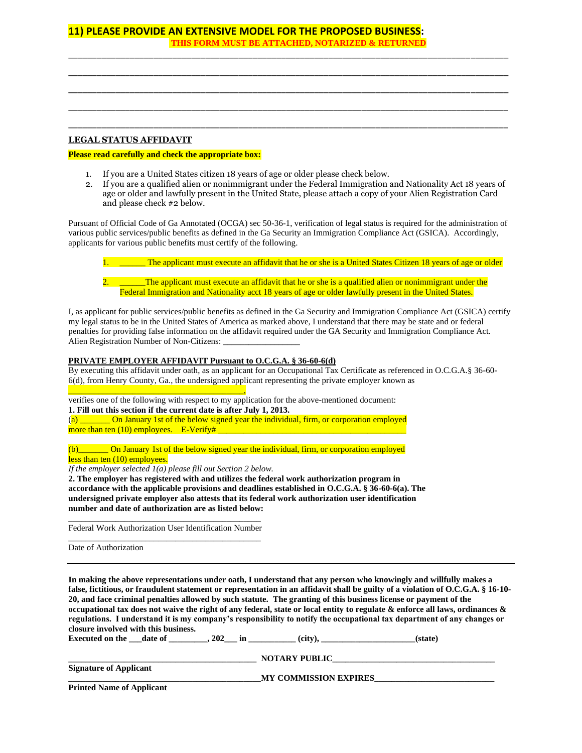## **11) PLEASE PROVIDE AN EXTENSIVE MODEL FOR THE PROPOSED BUSINESS: THIS FORM MUST BE ATTACHED, NOTARIZED & RETURNED**

### **LEGAL STATUS AFFIDAVIT**

#### **Please read carefully and check the appropriate box:**

- 1. If you are a United States citizen 18 years of age or older please check below.
- 2. If you are a qualified alien or nonimmigrant under the Federal Immigration and Nationality Act 18 years of age or older and lawfully present in the United State, please attach a copy of your Alien Registration Card and please check #2 below.

\_\_\_\_\_\_\_\_\_\_\_\_\_\_\_\_\_\_\_\_\_\_\_\_\_\_\_\_\_\_\_\_\_\_\_\_\_\_\_\_\_\_\_\_\_\_\_\_\_\_\_\_\_\_\_\_\_\_\_\_\_\_\_\_\_\_\_\_\_\_\_\_\_\_\_\_\_\_\_\_\_\_\_\_\_\_\_\_\_\_\_\_\_ \_\_\_\_\_\_\_\_\_\_\_\_\_\_\_\_\_\_\_\_\_\_\_\_\_\_\_\_\_\_\_\_\_\_\_\_\_\_\_\_\_\_\_\_\_\_\_\_\_\_\_\_\_\_\_\_\_\_\_\_\_\_\_\_\_\_\_\_\_\_\_\_\_\_\_\_\_\_\_\_\_\_\_\_\_\_\_\_\_\_\_\_\_ \_\_\_\_\_\_\_\_\_\_\_\_\_\_\_\_\_\_\_\_\_\_\_\_\_\_\_\_\_\_\_\_\_\_\_\_\_\_\_\_\_\_\_\_\_\_\_\_\_\_\_\_\_\_\_\_\_\_\_\_\_\_\_\_\_\_\_\_\_\_\_\_\_\_\_\_\_\_\_\_\_\_\_\_\_\_\_\_\_\_\_\_\_ \_\_\_\_\_\_\_\_\_\_\_\_\_\_\_\_\_\_\_\_\_\_\_\_\_\_\_\_\_\_\_\_\_\_\_\_\_\_\_\_\_\_\_\_\_\_\_\_\_\_\_\_\_\_\_\_\_\_\_\_\_\_\_\_\_\_\_\_\_\_\_\_\_\_\_\_\_\_\_\_\_\_\_\_\_\_\_\_\_\_\_\_\_ \_\_\_\_\_\_\_\_\_\_\_\_\_\_\_\_\_\_\_\_\_\_\_\_\_\_\_\_\_\_\_\_\_\_\_\_\_\_\_\_\_\_\_\_\_\_\_\_\_\_\_\_\_\_\_\_\_\_\_\_\_\_\_\_\_\_\_\_\_\_\_\_\_\_\_\_\_\_\_\_\_\_\_\_\_\_\_\_\_\_\_\_\_

Pursuant of Official Code of Ga Annotated (OCGA) sec 50-36-1, verification of legal status is required for the administration of various public services/public benefits as defined in the Ga Security an Immigration Compliance Act (GSICA). Accordingly, applicants for various public benefits must certify of the following.

| The applicant must execute an affidavit that he or she is a United States Citizen 18 years of age or older |
|------------------------------------------------------------------------------------------------------------|
|                                                                                                            |
| The applicant must execute an affidavit that he or she is a qualified alien or nonimmigrant under the      |
| Federal Immigration and Nationality acct 18 years of age or older lawfully present in the United States.   |

I, as applicant for public services/public benefits as defined in the Ga Security and Immigration Compliance Act (GSICA) certify my legal status to be in the United States of America as marked above, I understand that there may be state and or federal penalties for providing false information on the affidavit required under the GA Security and Immigration Compliance Act. Alien Registration Number of Non-Citizens:

### **PRIVATE EMPLOYER AFFIDAVIT Pursuant to O.C.G.A. § 36-60-6(d)**

By executing this affidavit under oath, as an applicant for an Occupational Tax Certificate as referenced in O.C.G.A.§ 36-60- 6(d), from Henry County, Ga., the undersigned applicant representing the private employer known as

\_\_\_\_\_\_\_\_\_\_\_\_\_\_\_\_\_\_\_\_\_\_\_\_\_\_\_\_\_\_\_\_\_\_\_\_\_\_\_\_\_, verifies one of the following with respect to my application for the above-mentioned document: **1. Fill out this section if the current date is after July 1, 2013.**

(a) \_\_\_\_\_\_\_ On January 1st of the below signed year the individual, firm, or corporation employed more than ten  $(10)$  employees. E-Verify#

(b)\_\_\_\_\_\_\_ On January 1st of the below signed year the individual, firm, or corporation employed less than ten (10) employees.

*If the employer selected 1(a) please fill out Section 2 below.*

**2. The employer has registered with and utilizes the federal work authorization program in accordance with the applicable provisions and deadlines established in O.C.G.A. § 36-60-6(a). The undersigned private employer also attests that its federal work authorization user identification number and date of authorization are as listed below:**

\_\_\_\_\_\_\_\_\_\_\_\_\_\_\_\_\_\_\_\_\_\_\_\_\_\_\_\_\_\_\_\_\_\_\_\_\_\_\_\_\_\_\_\_\_ Federal Work Authorization User Identification Number \_\_\_\_\_\_\_\_\_\_\_\_\_\_\_\_\_\_\_\_\_\_\_\_\_\_\_\_\_\_\_\_\_\_\_\_\_\_\_\_\_\_\_\_\_

Date of Authorization

**In making the above representations under oath, I understand that any person who knowingly and willfully makes a false, fictitious, or fraudulent statement or representation in an affidavit shall be guilty of a violation of O.C.G.A. § 16-10- 20, and face criminal penalties allowed by such statute. The granting of this business license or payment of the occupational tax does not waive the right of any federal, state or local entity to regulate & enforce all laws, ordinances & regulations. I understand it is my company's responsibility to notify the occupational tax department of any changes or closure involved with this business.**

| <b>Executed on the</b> date of   | 202<br>m | (city),                      | (state) |
|----------------------------------|----------|------------------------------|---------|
|                                  |          | <b>NOTARY PUBLIC</b>         |         |
| <b>Signature of Applicant</b>    |          | <b>MY COMMISSION EXPIRES</b> |         |
| <b>Printed Name of Applicant</b> |          |                              |         |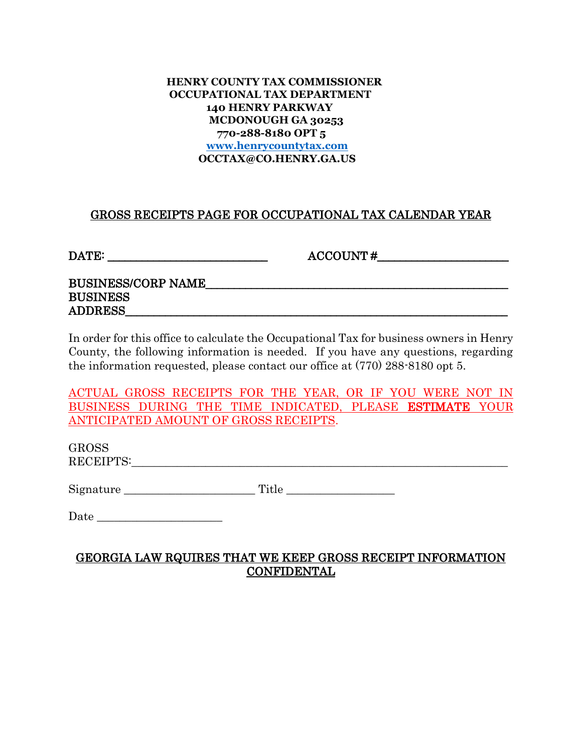## **HENRY COUNTY TAX COMMISSIONER OCCUPATIONAL TAX DEPARTMENT 140 HENRY PARKWAY MCDONOUGH GA 30253 770-288-8180 OPT 5 [www.henrycountytax.com](http://www.henrycountytax.com/) OCCTAX@CO.HENRY.GA.US**

# GROSS RECEIPTS PAGE FOR OCCUPATIONAL TAX CALENDAR YEAR

DATE:  $\overline{\text{DATE:}}$ 

BUSINESS/CORP NAME\_\_\_\_\_\_\_\_\_\_\_\_\_\_\_\_\_\_\_\_\_\_\_\_\_\_\_\_\_\_\_\_\_\_\_\_\_\_\_\_\_\_\_\_\_\_\_\_\_\_\_\_\_ BUSINESS ADDRESS\_\_\_\_\_\_\_\_\_\_\_\_\_\_\_\_\_\_\_\_\_\_\_\_\_\_\_\_\_\_\_\_\_\_\_\_\_\_\_\_\_\_\_\_\_\_\_\_\_\_\_\_\_\_\_\_\_\_\_\_\_\_\_\_\_\_\_

In order for this office to calculate the Occupational Tax for business owners in Henry County, the following information is needed. If you have any questions, regarding the information requested, please contact our office at (770) 288-8180 opt 5.

ACTUAL GROSS RECEIPTS FOR THE YEAR, OR IF YOU WERE NOT IN BUSINESS DURING THE TIME INDICATED, PLEASE ESTIMATE YOUR ANTICIPATED AMOUNT OF GROSS RECEIPTS.

GROSS RECEIPTS:\_\_\_\_\_\_\_\_\_\_\_\_\_\_\_\_\_\_\_\_\_\_\_\_\_\_\_\_\_\_\_\_\_\_\_\_\_\_\_\_\_\_\_\_\_\_\_\_\_\_\_\_\_\_\_\_\_\_\_\_\_\_\_\_\_\_

Signature Title Title

| Date |
|------|
|------|

# GEORGIA LAW RQUIRES THAT WE KEEP GROSS RECEIPT INFORMATION CONFIDENTAL